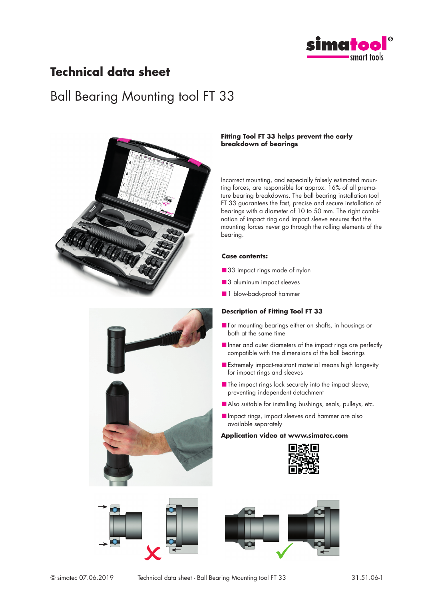

### **Technical data sheet**

## Ball Bearing Mounting tool FT 33



#### **Fitting Tool FT 33 helps prevent the early breakdown of bearings**

Incorrect mounting, and especially falsely estimated mounting forces, are responsible for approx. 16% of all premature bearing breakdowns. The ball bearing installation tool FT 33 guarantees the fast, precise and secure installation of bearings with a diameter of 10 to 50 mm. The right combination of impact ring and impact sleeve ensures that the mounting forces never go through the rolling elements of the bearing.

#### **Case contents:**

- 33 impact rings made of nylon
- 3 aluminum impact sleeves
- 1 blow-back-proof hammer

#### **Description of Fitting Tool FT 33**

- For mounting bearings either on shafts, in housings or both at the same time
- Inner and outer diameters of the impact rings are perfectly compatible with the dimensions of the ball bearings
- Extremely impact-resistant material means high longevity for impact rings and sleeves
- The impact rings lock securely into the impact sleeve, preventing independent detachment
- Also suitable for installing bushings, seals, pulleys, etc.
- Impact rings, impact sleeves and hammer are also available separately

#### **Application video at www.simatec.com**